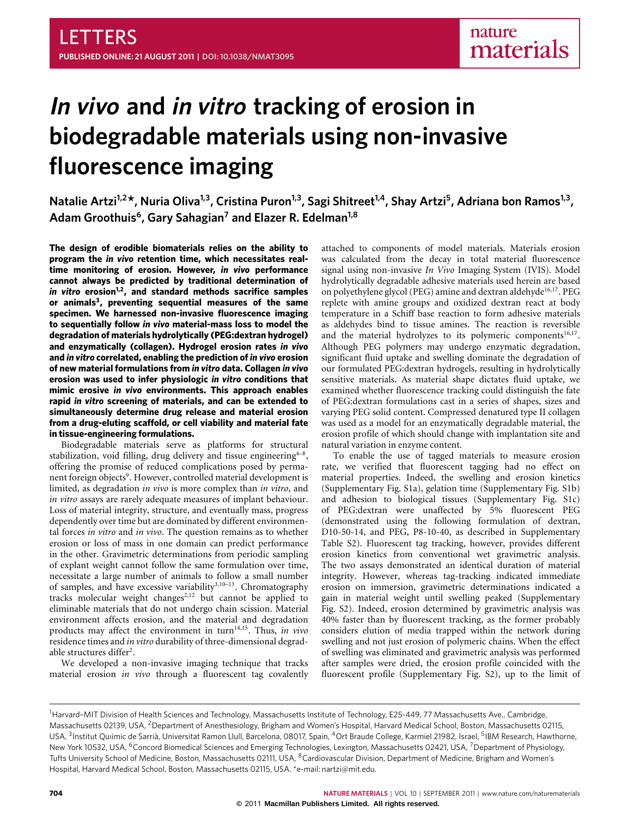# **In vivo and in vitro tracking of erosion in biodegradable materials using non-invasive fluorescence imaging**

**Natalie Artzi1,2\*, Nuria Oliva1,3, Cristina Puron1,3, Sagi Shitreet1,4, Shay Artzi<sup>5</sup> , Adriana bon Ramos1,3 , Adam Groothuis<sup>6</sup> , Gary Sahagian<sup>7</sup> and Elazer R. Edelman1,8**

**The design of erodible biomaterials relies on the ability to program the** *in vivo* **retention time, which necessitates realtime monitoring of erosion. However,** *in vivo* **performance cannot always be predicted by traditional determination of** *in vitro* **erosion[1](#page-4-0)[,2](#page-4-1), and standard methods sacrifice samples or animals[3](#page-4-2) , preventing sequential measures of the same specimen. We harnessed non-invasive fluorescence imaging to sequentially follow** *in vivo* **material-mass loss to model the degradation of materials hydrolytically (PEG:dextran hydrogel) and enzymatically (collagen). Hydrogel erosion rates** *in vivo* **and** *in vitro* **correlated, enabling the prediction of** *in vivo* **erosion of new material formulations from** *in vitro* **data. Collagen** *in vivo* **erosion was used to infer physiologic** *in vitro* **conditions that mimic erosive** *in vivo* **environments. This approach enables rapid** *in vitro* **screening of materials, and can be extended to simultaneously determine drug release and material erosion from a drug-eluting scaffold, or cell viability and material fate in tissue-engineering formulations.**

Biodegradable materials serve as platforms for structural stabilization, void filling, drug delivery and tissue engineering<sup>[4](#page-4-3)-8</sup>, offering the promise of reduced complications posed by perma-nent foreign objects<sup>[9](#page-5-1)</sup>. However, controlled material development is limited, as degradation *in vivo* is more complex than *in vitro*, and *in vitro* assays are rarely adequate measures of implant behaviour. Loss of material integrity, structure, and eventually mass, progress dependently over time but are dominated by different environmental forces *in vitro* and *in vivo*. The question remains as to whether erosion or loss of mass in one domain can predict performance in the other. Gravimetric determinations from periodic sampling of explant weight cannot follow the same formulation over time, necessitate a large number of animals to follow a small number of samples, and have excessive variability<sup>[3](#page-4-2),10-[13](#page-5-3)</sup>. Chromatography tracks molecular weight changes<sup> $2,12$  $2,12$ </sup> but cannot be applied to eliminable materials that do not undergo chain scission. Material environment affects erosion, and the material and degradation products may affect the environment in turn<sup>[14](#page-5-5)[,15](#page-5-6)</sup>. Thus, *in vivo* residence times and *in vitro* durability of three-dimensional degrad-able structures differ<sup>[2](#page-4-1)</sup>.

We developed a non-invasive imaging technique that tracks material erosion *in vivo* through a fluorescent tag covalently attached to components of model materials. Materials erosion was calculated from the decay in total material fluorescence signal using non-invasive *In Vivo* Imaging System (IVIS). Model hydrolytically degradable adhesive materials used herein are based on polyethylene glycol (PEG) amine and dextran aldehyde<sup>[16,](#page-5-7)[17](#page-5-8)</sup>. PEG replete with amine groups and oxidized dextran react at body temperature in a Schiff base reaction to form adhesive materials as aldehydes bind to tissue amines. The reaction is reversible and the material hydrolyzes to its polymeric components $16,17$  $16,17$ . Although PEG polymers may undergo enzymatic degradation, significant fluid uptake and swelling dominate the degradation of our formulated PEG:dextran hydrogels, resulting in hydrolytically sensitive materials. As material shape dictates fluid uptake, we examined whether fluorescence tracking could distinguish the fate of PEG:dextran formulations cast in a series of shapes, sizes and varying PEG solid content. Compressed denatured type II collagen was used as a model for an enzymatically degradable material, the erosion profile of which should change with implantation site and natural variation in enzyme content.

To enable the use of tagged materials to measure erosion rate, we verified that fluorescent tagging had no effect on material properties. Indeed, the swelling and erosion kinetics (Supplementary Fig. S1a), gelation time (Supplementary Fig. S1b) and adhesion to biological tissues (Supplementary Fig. S1c) of PEG:dextran were unaffected by 5% fluorescent PEG (demonstrated using the following formulation of dextran, D10-50-14, and PEG, P8-10-40, as described in Supplementary Table S2). Fluorescent tag tracking, however, provides different erosion kinetics from conventional wet gravimetric analysis. The two assays demonstrated an identical duration of material integrity. However, whereas tag-tracking indicated immediate erosion on immersion, gravimetric determinations indicated a gain in material weight until swelling peaked (Supplementary Fig. S2). Indeed, erosion determined by gravimetric analysis was 40% faster than by fluorescent tracking, as the former probably considers elution of media trapped within the network during swelling and not just erosion of polymeric chains. When the effect of swelling was eliminated and gravimetric analysis was performed after samples were dried, the erosion profile coincided with the fluorescent profile (Supplementary Fig. S2), up to the limit of

<sup>&</sup>lt;sup>1</sup>Harvard-MIT Division of Health Sciences and Technology, Massachusetts Institute of Technology, E25-449, 77 Massachusetts Ave., Cambridge, Massachusetts 02139, USA, <sup>2</sup>Department of Anesthesiology, Brigham and Women's Hospital, Harvard Medical School, Boston, Massachusetts 02115, USA, <sup>3</sup>Institut Quimic de Sarrià, Universitat Ramon Llull, Barcelona, 08017, Spain, <sup>4</sup>Ort Braude College, Karmiel 21982, Israel, <sup>5</sup>IBM Research, Hawthorne, New York 10532, USA, <sup>6</sup>Concord Biomedical Sciences and Emerging Technologies, Lexington, Massachusetts 02421, USA, <sup>7</sup>Department of Physiology, Tufts University School of Medicine, Boston, Massachusetts 02111, USA, <sup>8</sup>Cardiovascular Division, Department of Medicine, Brigham and Women's Hospital, Harvard Medical School, Boston, Massachusetts 02115, USA. \*e-mail: [nartzi@mit.edu.](mailto:nartzi@mit.edu)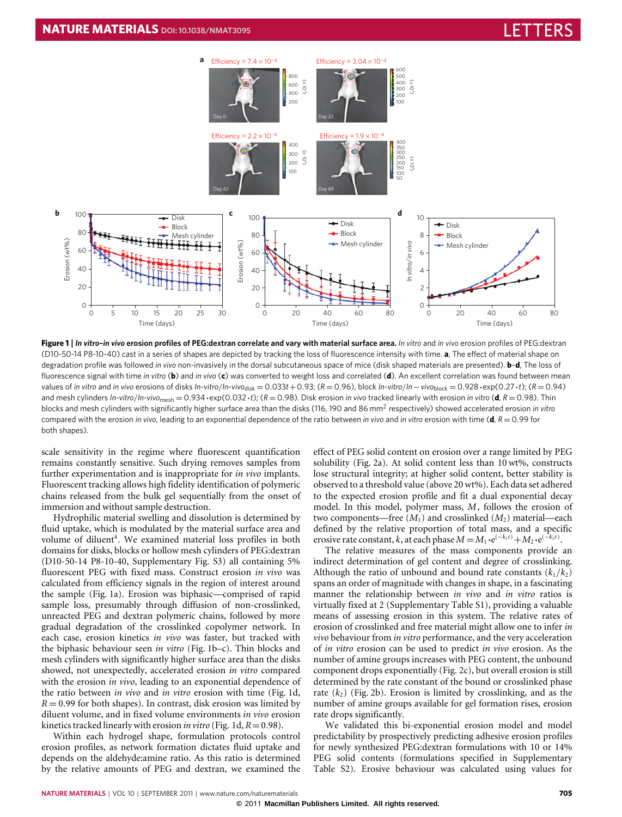

<span id="page-1-0"></span>**Figure 1** | *In vitro***–***in vivo* **erosion profiles of PEG:dextran correlate and vary with material surface area.** *In vitro* and *in vivo* erosion profiles of PEG:dextran (D10-50-14 P8-10-40) cast in a series of shapes are depicted by tracking the loss of fluorescence intensity with time. **a**, The effect of material shape on degradation profile was followed *in vivo* non-invasively in the dorsal subcutaneous space of mice (disk shaped materials are presented). **b**–**d**, The loss of fluorescence signal with time *in vitro* (**b**) and *in vivo* (**c**) was converted to weight loss and correlated (**d**). An excellent correlation was found between mean values of in vitro and in vivo erosions of disks In-vitro/In-vivo<sub>disk</sub> = 0.033t + 0.93; ( $R = 0.96$ ), block In-vitro/In-vivo<sub>block</sub> = 0.928 · exp(0.27 · t); ( $R = 0.94$ ) and mesh cylinders *In*-*vitro*/*In*-*vivo*mesh = 0.934·exp(0.032·*t*); (*R* = 0.98). Disk erosion *in vivo* tracked linearly with erosion *in vitro* (**d**, *R* = 0.98). Thin blocks and mesh cylinders with significantly higher surface area than the disks (116, 190 and 86 mm<sup>2</sup> respectively) showed accelerated erosion in vitro compared with the erosion *in vivo*, leading to an exponential dependence of the ratio between *in vivo* and *in vitro* erosion with time (**d**, *R* = 0.99 for both shapes).

scale sensitivity in the regime where fluorescent quantification remains constantly sensitive. Such drying removes samples from further experimentation and is inappropriate for *in vivo* implants. Fluorescent tracking allows high fidelity identification of polymeric chains released from the bulk gel sequentially from the onset of immersion and without sample destruction.

Hydrophilic material swelling and dissolution is determined by fluid uptake, which is modulated by the material surface area and volume of diluent<sup>[4](#page-4-3)</sup>. We examined material loss profiles in both domains for disks, blocks or hollow mesh cylinders of PEG:dextran (D10-50-14 P8-10-40, Supplementary Fig. S3) all containing 5% fluorescent PEG with fixed mass. Construct erosion *in vivo* was calculated from efficiency signals in the region of interest around the sample [\(Fig. 1a](#page-1-0)). Erosion was biphasic—comprised of rapid sample loss, presumably through diffusion of non-crosslinked, unreacted PEG and dextran polymeric chains, followed by more gradual degradation of the crosslinked copolymer network. In each case, erosion kinetics *in vivo* was faster, but tracked with the biphasic behaviour seen *in vitro* [\(Fig. 1b](#page-1-0)–c). Thin blocks and mesh cylinders with significantly higher surface area than the disks showed, not unexpectedly, accelerated erosion *in vitro* compared with the erosion *in vivo*, leading to an exponential dependence of the ratio between *in vivo* and *in vitro* erosion with time [\(Fig. 1d](#page-1-0),  $R = 0.99$  for both shapes). In contrast, disk erosion was limited by diluent volume, and in fixed volume environments *in vivo* erosion kinetics tracked linearly with erosion *in vitro* [\(Fig. 1d](#page-1-0), *R*=0.98).

Within each hydrogel shape, formulation protocols control erosion profiles, as network formation dictates fluid uptake and depends on the aldehyde:amine ratio. As this ratio is determined by the relative amounts of PEG and dextran, we examined the effect of PEG solid content on erosion over a range limited by PEG solubility [\(Fig. 2a](#page-2-0)). At solid content less than 10 wt%, constructs lose structural integrity; at higher solid content, better stability is observed to a threshold value (above 20 wt%). Each data set adhered to the expected erosion profile and fit a dual exponential decay model. In this model, polymer mass, *M*, follows the erosion of two components—free  $(M_1)$  and crosslinked  $(M_2)$  material—each defined by the relative proportion of total mass, and a specific erosive rate constant, *k*, at each phase  $M = M_1 \cdot e^{(-k_1 t)} + M_2 \cdot e^{(-k_2 t)}$ .

The relative measures of the mass components provide an indirect determination of gel content and degree of crosslinking. Although the ratio of unbound and bound rate constants  $(k_1/k_2)$ spans an order of magnitude with changes in shape, in a fascinating manner the relationship between *in vivo* and *in vitro* ratios is virtually fixed at 2 (Supplementary Table S1), providing a valuable means of assessing erosion in this system. The relative rates of erosion of crosslinked and free material might allow one to infer *in vivo* behaviour from *in vitro* performance, and the very acceleration of *in vitro* erosion can be used to predict *in vivo* erosion. As the number of amine groups increases with PEG content, the unbound component drops exponentially [\(Fig. 2c](#page-2-0)), but overall erosion is still determined by the rate constant of the bound or crosslinked phase rate  $(k_2)$  [\(Fig. 2b](#page-2-0)). Erosion is limited by crosslinking, and as the number of amine groups available for gel formation rises, erosion rate drops significantly.

We validated this bi-exponential erosion model and model predictability by prospectively predicting adhesive erosion profiles for newly synthesized PEG:dextran formulations with 10 or 14% PEG solid contents (formulations specified in Supplementary Table S2). Erosive behaviour was calculated using values for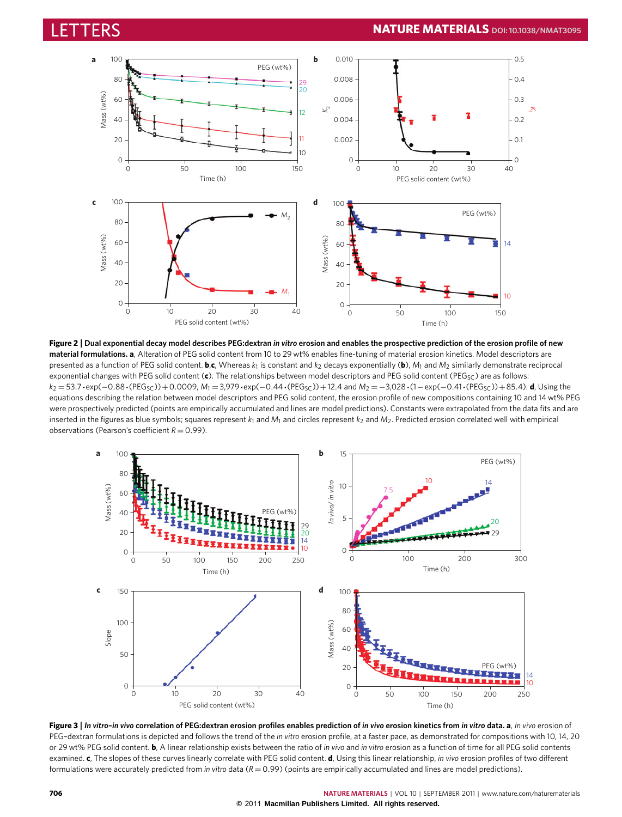

<span id="page-2-0"></span>**Figure 2** | **Dual exponential decay model describes PEG:dextran** *in vitro* **erosion and enables the prospective prediction of the erosion profile of new material formulations. a**, Alteration of PEG solid content from 10 to 29 wt% enables fine-tuning of material erosion kinetics. Model descriptors are presented as a function of PEG solid content. **b**,**c**, Whereas *k*<sup>1</sup> is constant and *k*<sup>2</sup> decays exponentially (**b**), *M*<sup>1</sup> and *M*<sup>2</sup> similarly demonstrate reciprocal exponential changes with PEG solid content (c). The relationships between model descriptors and PEG solid content (PEG<sub>SC</sub>) are as follows:  $k_2$  = 53.7·exp(−0.88·(PEG<sub>SC</sub>))+0.0009, *M*<sub>1</sub> = 3,979·exp(−0.44·(PEG<sub>SC</sub>))+12.4 and *M*<sub>2</sub> = −3,028·(1−exp(−0.41·(PEG<sub>SC</sub>))+85.4). **d**, Using the equations describing the relation between model descriptors and PEG solid content, the erosion profile of new compositions containing 10 and 14 wt% PEG were prospectively predicted (points are empirically accumulated and lines are model predictions). Constants were extrapolated from the data fits and are inserted in the figures as blue symbols; squares represent  $k_1$  and  $M_1$  and circles represent  $k_2$  and  $M_2$ . Predicted erosion correlated well with empirical observations (Pearson's coefficient  $R = 0.99$ ).



<span id="page-2-1"></span>Figure 3 | In vitro-in vivo correlation of PEG:dextran erosion profiles enables prediction of in vivo erosion kinetics from in vitro data. a, In vivo erosion of PEG–dextran formulations is depicted and follows the trend of the *in vitro* erosion profile, at a faster pace, as demonstrated for compositions with 10, 14, 20 or 29 wt% PEG solid content. **b**, A linear relationship exists between the ratio of *in vivo* and *in vitro* erosion as a function of time for all PEG solid contents examined. **c**, The slopes of these curves linearly correlate with PEG solid content. **d**, Using this linear relationship, *in vivo* erosion profiles of two different formulations were accurately predicted from *in vitro* data (*R* = 0.99) (points are empirically accumulated and lines are model predictions).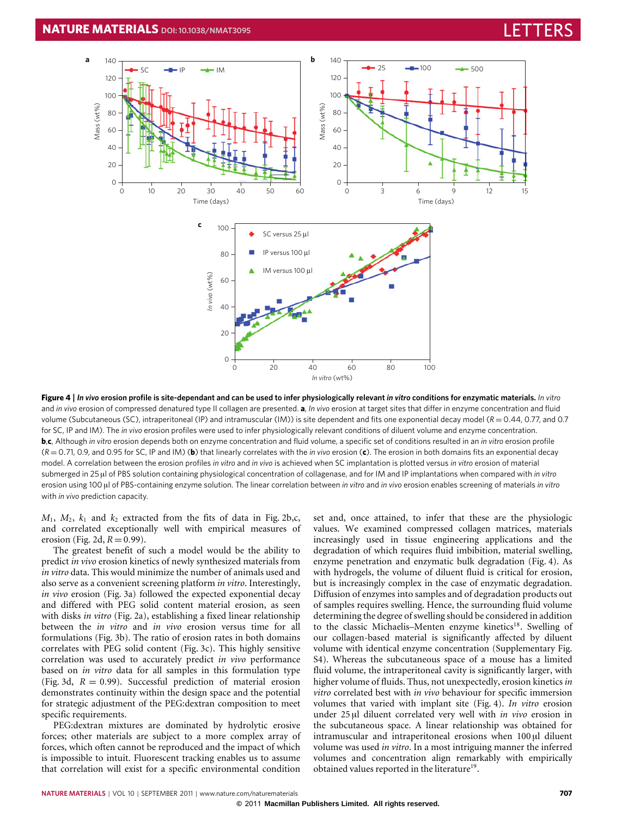

<span id="page-3-0"></span>**Figure 4** | *In vivo* **erosion profile is site-dependant and can be used to infer physiologically relevant** *in vitro* **conditions for enzymatic materials.** *In vitro* and *in vivo* erosion of compressed denatured type II collagen are presented. **a**, *In vivo* erosion at target sites that differ in enzyme concentration and fluid volume (Subcutaneous (SC), intraperitoneal (IP) and intramuscular (IM)) is site dependent and fits one exponential decay model (*R* = 0.44, 0.77, and 0.7 for SC, IP and IM). The *in vivo* erosion profiles were used to infer physiologically relevant conditions of diluent volume and enzyme concentration. **b**,**c**, Although *in vitro* erosion depends both on enzyme concentration and fluid volume, a specific set of conditions resulted in an *in vitro* erosion profile (*R* = 0.71, 0.9, and 0.95 for SC, IP and IM) (**b**) that linearly correlates with the *in vivo* erosion (**c**). The erosion in both domains fits an exponential decay model. A correlation between the erosion profiles *in vitro* and *in vivo* is achieved when SC implantation is plotted versus *in vitro* erosion of material submerged in 25 µl of PBS solution containing physiological concentration of collagenase, and for IM and IP implantations when compared with *in vitro* erosion using 100 µl of PBS-containing enzyme solution. The linear correlation between *in vitro* and *in vivo* erosion enables screening of materials *in vitro* with *in vivo* prediction capacity.

 $M_1$ ,  $M_2$ ,  $k_1$  and  $k_2$  extracted from the fits of data in [Fig. 2b](#page-2-0),c, and correlated exceptionally well with empirical measures of erosion [\(Fig. 2d](#page-2-0),  $R = 0.99$ ).

The greatest benefit of such a model would be the ability to predict *in vivo* erosion kinetics of newly synthesized materials from *in vitro* data. This would minimize the number of animals used and also serve as a convenient screening platform *in vitro*. Interestingly, *in vivo* erosion [\(Fig. 3a](#page-2-1)) followed the expected exponential decay and differed with PEG solid content material erosion, as seen with disks *in vitro* [\(Fig. 2a](#page-2-0)), establishing a fixed linear relationship between the *in vitro* and *in vivo* erosion versus time for all formulations [\(Fig. 3b](#page-2-1)). The ratio of erosion rates in both domains correlates with PEG solid content [\(Fig. 3c](#page-2-1)). This highly sensitive correlation was used to accurately predict *in vivo* performance based on *in vitro* data for all samples in this formulation type [\(Fig. 3d](#page-2-1),  $R = 0.99$ ). Successful prediction of material erosion demonstrates continuity within the design space and the potential for strategic adjustment of the PEG:dextran composition to meet specific requirements.

PEG:dextran mixtures are dominated by hydrolytic erosive forces; other materials are subject to a more complex array of forces, which often cannot be reproduced and the impact of which is impossible to intuit. Fluorescent tracking enables us to assume that correlation will exist for a specific environmental condition set and, once attained, to infer that these are the physiologic values. We examined compressed collagen matrices, materials increasingly used in tissue engineering applications and the degradation of which requires fluid imbibition, material swelling, enzyme penetration and enzymatic bulk degradation [\(Fig. 4\)](#page-3-0). As with hydrogels, the volume of diluent fluid is critical for erosion, but is increasingly complex in the case of enzymatic degradation. Diffusion of enzymes into samples and of degradation products out of samples requires swelling. Hence, the surrounding fluid volume determining the degree of swelling should be considered in addition to the classic Michaelis–Menten enzyme kinetics<sup>[18](#page-5-9)</sup>. Swelling of our collagen-based material is significantly affected by diluent volume with identical enzyme concentration (Supplementary Fig. S4). Whereas the subcutaneous space of a mouse has a limited fluid volume, the intraperitoneal cavity is significantly larger, with higher volume of fluids. Thus, not unexpectedly, erosion kinetics *in vitro* correlated best with *in vivo* behaviour for specific immersion volumes that varied with implant site [\(Fig. 4\)](#page-3-0). *In vitro* erosion under 25 µl diluent correlated very well with *in vivo* erosion in the subcutaneous space. A linear relationship was obtained for intramuscular and intraperitoneal erosions when 100 µl diluent volume was used *in vitro*. In a most intriguing manner the inferred volumes and concentration align remarkably with empirically obtained values reported in the literature<sup>[19](#page-5-10)</sup>.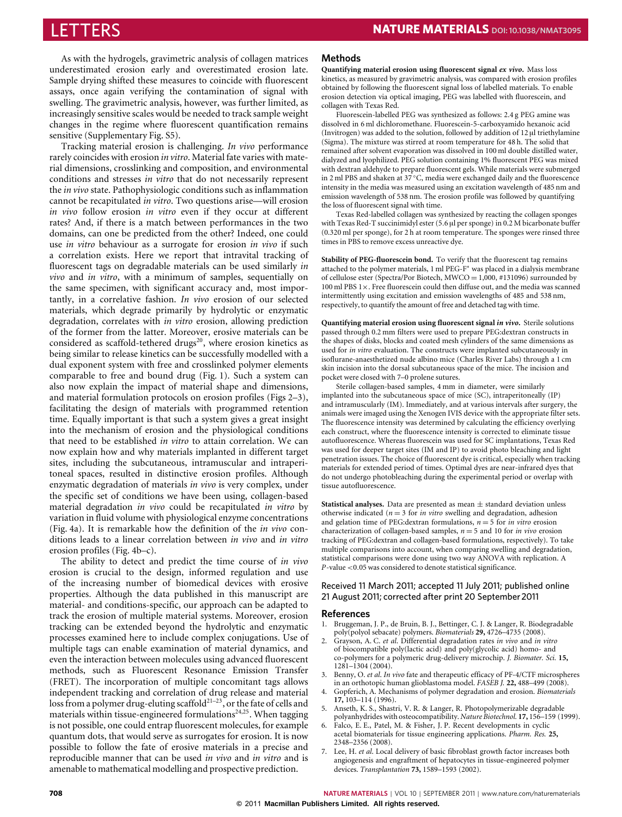As with the hydrogels, gravimetric analysis of collagen matrices underestimated erosion early and overestimated erosion late. Sample drying shifted these measures to coincide with fluorescent assays, once again verifying the contamination of signal with swelling. The gravimetric analysis, however, was further limited, as increasingly sensitive scales would be needed to track sample weight changes in the regime where fluorescent quantification remains sensitive (Supplementary Fig. S5).

Tracking material erosion is challenging. *In vivo* performance rarely coincides with erosion *in vitro*. Material fate varies with material dimensions, crosslinking and composition, and environmental conditions and stresses *in vitro* that do not necessarily represent the *in vivo* state. Pathophysiologic conditions such as inflammation cannot be recapitulated *in vitro*. Two questions arise—will erosion *in vivo* follow erosion *in vitro* even if they occur at different rates? And, if there is a match between performances in the two domains, can one be predicted from the other? Indeed, one could use *in vitro* behaviour as a surrogate for erosion *in vivo* if such a correlation exists. Here we report that intravital tracking of fluorescent tags on degradable materials can be used similarly *in vivo* and *in vitro*, with a minimum of samples, sequentially on the same specimen, with significant accuracy and, most importantly, in a correlative fashion. *In vivo* erosion of our selected materials, which degrade primarily by hydrolytic or enzymatic degradation, correlates with *in vitro* erosion, allowing prediction of the former from the latter. Moreover, erosive materials can be considered as scaffold-tethered drugs<sup>[20](#page-5-11)</sup>, where erosion kinetics as being similar to release kinetics can be successfully modelled with a dual exponent system with free and crosslinked polymer elements comparable to free and bound drug [\(Fig. 1\)](#page-1-0). Such a system can also now explain the impact of material shape and dimensions, and material formulation protocols on erosion profiles [\(Figs 2](#page-2-0)[–3\)](#page-2-1), facilitating the design of materials with programmed retention time. Equally important is that such a system gives a great insight into the mechanism of erosion and the physiological conditions that need to be established *in vitro* to attain correlation. We can now explain how and why materials implanted in different target sites, including the subcutaneous, intramuscular and intraperitoneal spaces, resulted in distinctive erosion profiles. Although enzymatic degradation of materials *in vivo* is very complex, under the specific set of conditions we have been using, collagen-based material degradation *in vivo* could be recapitulated *in vitro* by variation in fluid volume with physiological enzyme concentrations [\(Fig. 4a](#page-3-0)). It is remarkable how the definition of the *in vivo* conditions leads to a linear correlation between *in vivo* and *in vitro* erosion profiles [\(Fig. 4b](#page-3-0)–c).

The ability to detect and predict the time course of *in vivo* erosion is crucial to the design, informed regulation and use of the increasing number of biomedical devices with erosive properties. Although the data published in this manuscript are material- and conditions-specific, our approach can be adapted to track the erosion of multiple material systems. Moreover, erosion tracking can be extended beyond the hydrolytic and enzymatic processes examined here to include complex conjugations. Use of multiple tags can enable examination of material dynamics, and even the interaction between molecules using advanced fluorescent methods, such as Fluorescent Resonance Emission Transfer (FRET). The incorporation of multiple concomitant tags allows independent tracking and correlation of drug release and material loss from a polymer drug-eluting scaffold $2^{1-23}$  $2^{1-23}$  $2^{1-23}$ , or the fate of cells and materials within tissue-engineered formulations<sup>[24,](#page-5-14)[25](#page-5-15)</sup>. When tagging is not possible, one could entrap fluorescent molecules, for example quantum dots, that would serve as surrogates for erosion. It is now possible to follow the fate of erosive materials in a precise and reproducible manner that can be used *in vivo* and *in vitro* and is amenable to mathematical modelling and prospective prediction.

### **Methods**

**Quantifying material erosion using fluorescent signal** *ex vivo***.** Mass loss kinetics, as measured by gravimetric analysis, was compared with erosion profiles obtained by following the fluorescent signal loss of labelled materials. To enable erosion detection via optical imaging, PEG was labelled with fluorescein, and collagen with Texas Red.

Fluorescein-labelled PEG was synthesized as follows: 2.4 g PEG amine was dissolved in 6 ml dichloromethane. Fluorescein-5-carboxyamido hexanoic acid (Invitrogen) was added to the solution, followed by addition of 12 µl triethylamine (Sigma). The mixture was stirred at room temperature for 48 h. The solid that remained after solvent evaporation was dissolved in 100 ml double distilled water, dialyzed and lyophilized. PEG solution containing 1% fluorescent PEG was mixed with dextran aldehyde to prepare fluorescent gels. While materials were submerged in 2 ml PBS and shaken at 37 ◦C, media were exchanged daily and the fluorescence intensity in the media was measured using an excitation wavelength of 485 nm and emission wavelength of 538 nm. The erosion profile was followed by quantifying the loss of fluorescent signal with time.

Texas Red-labelled collagen was synthesized by reacting the collagen sponges with Texas Red-T succinimidyl ester (5.6 µl per sponge) in 0.2 M bicarbonate buffer (0.320 ml per sponge), for 2 h at room temperature. The sponges were rinsed three times in PBS to remove excess unreactive dye.

**Stability of PEG-fluorescein bond.** To verify that the fluorescent tag remains attached to the polymer materials, 1 ml PEG-F<sup>∗</sup> was placed in a dialysis membrane of cellulose ester (Spectra/Por Biotech, MWCO =  $1,000,$  #131096) surrounded by 100 ml PBS  $1\times$ . Free fluorescein could then diffuse out, and the media was scanned intermittently using excitation and emission wavelengths of 485 and 538 nm, respectively, to quantify the amount of free and detached tag with time.

**Quantifying material erosion using fluorescent signal** *in vivo***.** Sterile solutions passed through 0.2 mm filters were used to prepare PEG:dextran constructs in the shapes of disks, blocks and coated mesh cylinders of the same dimensions as used for *in vitro* evaluation. The constructs were implanted subcutaneously in isoflurane-anaesthetized nude albino mice (Charles River Labs) through a 1 cm skin incision into the dorsal subcutaneous space of the mice. The incision and pocket were closed with 7–0 prolene sutures.

Sterile collagen-based samples, 4 mm in diameter, were similarly implanted into the subcutaneous space of mice (SC), intraperitoneally (IP) and intramuscularly (IM). Immediately, and at various intervals after surgery, the animals were imaged using the Xenogen IVIS device with the appropriate filter sets. The fluorescence intensity was determined by calculating the efficiency overlying each construct, where the fluorescence intensity is corrected to eliminate tissue autofluorescence. Whereas fluorescein was used for SC implantations, Texas Red was used for deeper target sites (IM and IP) to avoid photo bleaching and light penetration issues. The choice of fluorescent dye is critical, especially when tracking materials for extended period of times. Optimal dyes are near-infrared dyes that do not undergo photobleaching during the experimental period or overlap with tissue autofluorescence.

**Statistical analyses.** Data are presented as mean ± standard deviation unless otherwise indicated ( $n = 3$  for *in vitro* swelling and degradation, adhesion and gelation time of PEG:dextran formulations,  $n = 5$  for *in vitro* erosion characterization of collagen-based samples, *n* = 5 and 10 for *in vivo* erosion tracking of PEG:dextran and collagen-based formulations, respectively). To take multiple comparisons into account, when comparing swelling and degradation, statistical comparisons were done using two way ANOVA with replication. A *P*-value <0.05 was considered to denote statistical significance.

### Received 11 March 2011; accepted 11 July 2011; published online 21 August 2011; corrected after print 20 September2011

#### **References**

- <span id="page-4-0"></span>1. Bruggeman, J. P., de Bruin, B. J., Bettinger, C. J. & Langer, R. Biodegradable poly(polyol sebacate) polymers. *Biomaterials* **29,** 4726–4735 (2008).
- <span id="page-4-1"></span>2. Grayson, A. C. *et al*. Differential degradation rates *in vivo* and *in vitro* of biocompatible poly(lactic acid) and poly(glycolic acid) homo- and co-polymers for a polymeric drug-delivery microchip. *J. Biomater. Sci.* **15,** 1281–1304 (2004).
- <span id="page-4-2"></span>3. Benny, O. *et al*. *In vivo* fate and therapeutic efficacy of PF-4/CTF microspheres in an orthotopic human glioblastoma model. *FASEB J.* **22,** 488–499 (2008).
- <span id="page-4-3"></span>4. Gopferich, A. Mechanisms of polymer degradation and erosion. *Biomaterials* **17,** 103–114 (1996).
- 5. Anseth, K. S., Shastri, V. R. & Langer, R. Photopolymerizable degradable polyanhydrides with osteocompatibility. *Nature Biotechnol.* **17,** 156–159 (1999).
- 6. Falco, E. E., Patel, M. & Fisher, J. P. Recent developments in cyclic acetal biomaterials for tissue engineering applications. *Pharm. Res.* **25,** 2348–2356 (2008).
- 7. Lee, H. *et al*. Local delivery of basic fibroblast growth factor increases both angiogenesis and engraftment of hepatocytes in tissue-engineered polymer devices. *Transplantation* **73,** 1589–1593 (2002).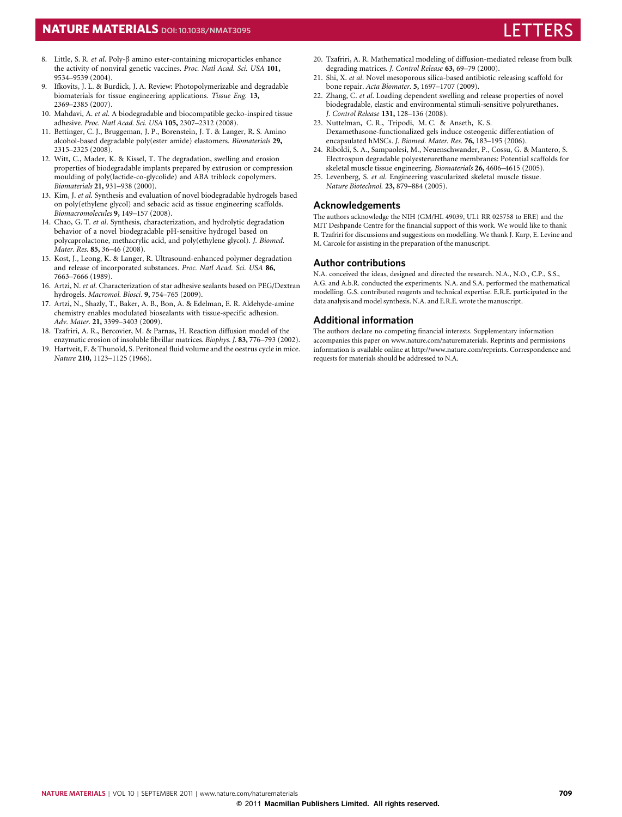# **NATURE MATERIALS** DOI: [10.1038/NMAT3095](http://www.nature.com/doifinder/10.1038/nmat3095)

- <span id="page-5-0"></span>8. Little, S. R. *et al*. Poly-β amino ester-containing microparticles enhance the activity of nonviral genetic vaccines. *Proc. Natl Acad. Sci. USA* **101,** 9534–9539 (2004).
- <span id="page-5-1"></span>Ifkovits, J. L. & Burdick, J. A. Review: Photopolymerizable and degradable biomaterials for tissue engineering applications. *Tissue Eng.* **13,** 2369–2385 (2007).
- <span id="page-5-2"></span>10. Mahdavi, A. *et al*. A biodegradable and biocompatible gecko-inspired tissue adhesive. *Proc. Natl Acad. Sci. USA* **105,** 2307–2312 (2008).
- 11. Bettinger, C. J., Bruggeman, J. P., Borenstein, J. T. & Langer, R. S. Amino alcohol-based degradable poly(ester amide) elastomers. *Biomaterials* **29,** 2315–2325 (2008).
- <span id="page-5-4"></span>12. Witt, C., Mader, K. & Kissel, T. The degradation, swelling and erosion properties of biodegradable implants prepared by extrusion or compression moulding of poly(lactide-co-glycolide) and ABA triblock copolymers. *Biomaterials* **21,** 931–938 (2000).
- <span id="page-5-3"></span>13. Kim, J. *et al*. Synthesis and evaluation of novel biodegradable hydrogels based on poly(ethylene glycol) and sebacic acid as tissue engineering scaffolds. *Biomacromolecules* **9,** 149–157 (2008).
- <span id="page-5-5"></span>14. Chao, G. T. *et al*. Synthesis, characterization, and hydrolytic degradation behavior of a novel biodegradable pH-sensitive hydrogel based on polycaprolactone, methacrylic acid, and poly(ethylene glycol). *J. Biomed. Mater. Res.* **85,** 36–46 (2008).
- <span id="page-5-6"></span>15. Kost, J., Leong, K. & Langer, R. Ultrasound-enhanced polymer degradation and release of incorporated substances. *Proc. Natl Acad. Sci. USA* **86,** 7663–7666 (1989).
- <span id="page-5-7"></span>16. Artzi, N. *et al*. Characterization of star adhesive sealants based on PEG/Dextran hydrogels. *Macromol. Biosci.* **9,** 754–765 (2009).
- <span id="page-5-8"></span>17. Artzi, N., Shazly, T., Baker, A. B., Bon, A. & Edelman, E. R. Aldehyde-amine chemistry enables modulated biosealants with tissue-specific adhesion. *Adv. Mater.* **21,** 3399–3403 (2009).
- <span id="page-5-9"></span>18. Tzafriri, A. R., Bercovier, M. & Parnas, H. Reaction diffusion model of the enzymatic erosion of insoluble fibrillar matrices. *Biophys. J.* **83,** 776–793 (2002).
- <span id="page-5-10"></span>19. Hartveit, F. & Thunold, S. Peritoneal fluid volume and the oestrus cycle in mice. *Nature* **210,** 1123–1125 (1966).
- <span id="page-5-11"></span>20. Tzafriri, A. R. Mathematical modeling of diffusion-mediated release from bulk degrading matrices. *J. Control Release* **63,** 69–79 (2000).
- <span id="page-5-12"></span>21. Shi, X. *et al*. Novel mesoporous silica-based antibiotic releasing scaffold for bone repair. *Acta Biomater.* **5,** 1697–1707 (2009).
- 22. Zhang, C. *et al*. Loading dependent swelling and release properties of novel biodegradable, elastic and environmental stimuli-sensitive polyurethanes. *J. Control Release* **131,** 128–136 (2008).
- <span id="page-5-13"></span>23. Nuttelman, C. R., Tripodi, M. C. & Anseth, K. S. Dexamethasone-functionalized gels induce osteogenic differentiation of encapsulated hMSCs. *J. Biomed. Mater. Res.* **76,** 183–195 (2006).
- <span id="page-5-14"></span>24. Riboldi, S. A., Sampaolesi, M., Neuenschwander, P., Cossu, G. & Mantero, S. Electrospun degradable polyesterurethane membranes: Potential scaffolds for skeletal muscle tissue engineering. *Biomaterials* **26,** 4606–4615 (2005).
- <span id="page-5-15"></span>25. Levenberg, S. *et al*. Engineering vascularized skeletal muscle tissue. *Nature Biotechnol.* **23,** 879–884 (2005).

# **Acknowledgements**

The authors acknowledge the NIH (GM/HL 49039, UL1 RR 025758 to ERE) and the MIT Deshpande Centre for the financial support of this work. We would like to thank R. Tzafriri for discussions and suggestions on modelling. We thank J. Karp, E. Levine and M. Carcole for assisting in the preparation of the manuscript.

# **Author contributions**

N.A. conceived the ideas, designed and directed the research. N.A., N.O., C.P., S.S., A.G. and A.b.R. conducted the experiments. N.A. and S.A. performed the mathematical modelling. G.S. contributed reagents and technical expertise. E.R.E. participated in the data analysis and model synthesis. N.A. and E.R.E. wrote the manuscript.

# **Additional information**

The authors declare no competing financial interests. Supplementary information accompanies this paper on [www.nature.com/naturematerials.](http://www.nature.com/naturematerials) Reprints and permissions information is available online at [http://www.nature.com/reprints.](http://www.nature.com/reprints) Correspondence and requests for materials should be addressed to N.A.